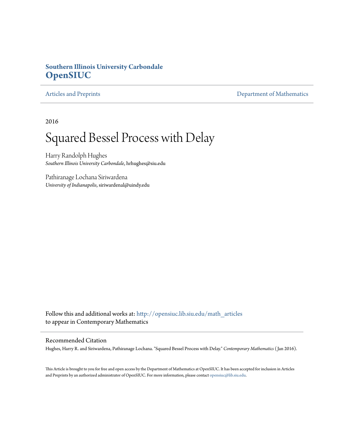## **Southern Illinois University Carbondale [OpenSIUC](http://opensiuc.lib.siu.edu?utm_source=opensiuc.lib.siu.edu%2Fmath_articles%2F113&utm_medium=PDF&utm_campaign=PDFCoverPages)**

[Articles and Preprints](http://opensiuc.lib.siu.edu/math_articles?utm_source=opensiuc.lib.siu.edu%2Fmath_articles%2F113&utm_medium=PDF&utm_campaign=PDFCoverPages) **[Department of Mathematics](http://opensiuc.lib.siu.edu/math?utm_source=opensiuc.lib.siu.edu%2Fmath_articles%2F113&utm_medium=PDF&utm_campaign=PDFCoverPages)** 

2016

# Squared Bessel Process with Delay

Harry Randolph Hughes *Southern Illinois University Carbondale*, hrhughes@siu.edu

Pathiranage Lochana Siriwardena *University of Indianapolis*, siriwardenal@uindy.edu

Follow this and additional works at: [http://opensiuc.lib.siu.edu/math\\_articles](http://opensiuc.lib.siu.edu/math_articles?utm_source=opensiuc.lib.siu.edu%2Fmath_articles%2F113&utm_medium=PDF&utm_campaign=PDFCoverPages) to appear in Contemporary Mathematics

#### Recommended Citation

Hughes, Harry R. and Siriwardena, Pathiranage Lochana. "Squared Bessel Process with Delay." *Contemporary Mathematics* ( Jan 2016).

This Article is brought to you for free and open access by the Department of Mathematics at OpenSIUC. It has been accepted for inclusion in Articles and Preprints by an authorized administrator of OpenSIUC. For more information, please contact [opensiuc@lib.siu.edu](mailto:opensiuc@lib.siu.edu).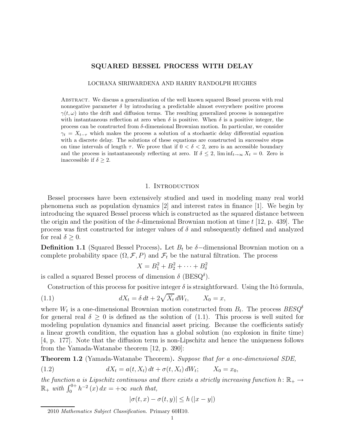### SQUARED BESSEL PROCESS WITH DELAY

#### LOCHANA SIRIWARDENA AND HARRY RANDOLPH HUGHES

Abstract. We discuss a generalization of the well known squared Bessel process with real nonnegative parameter  $\delta$  by introducing a predictable almost everywhere positive process  $\gamma(t,\omega)$  into the drift and diffusion terms. The resulting generalized process is nonnegative with instantaneous reflection at zero when  $\delta$  is positive. When  $\delta$  is a positive integer, the process can be constructed from  $\delta$ -dimensional Brownian motion. In particular, we consider  $\gamma_t = X_{t-\tau}$  which makes the process a solution of a stochastic delay differential equation with a discrete delay. The solutions of these equations are constructed in successive steps on time intervals of length  $\tau$ . We prove that if  $0 < \delta < 2$ , zero is an accessible boundary and the process is instantaneously reflecting at zero. If  $\delta \leq 2$ ,  $\liminf_{t\to\infty} X_t = 0$ . Zero is inaccessible if  $\delta \geq 2$ .

#### 1. Introduction

Bessel processes have been extensively studied and used in modeling many real world phenomena such as population dynamics [2] and interest rates in finance [1]. We begin by introducing the squared Bessel process which is constructed as the squared distance between the origin and the position of the  $\delta$ -dimensional Brownian motion at time t [12, p. 439]. The process was first constructed for integer values of  $\delta$  and subsequently defined and analyzed for real  $\delta \geq 0$ .

**Definition 1.1** (Squared Bessel Process). Let  $B_t$  be  $\delta$ -dimensional Brownian motion on a complete probability space  $(\Omega, \mathcal{F}, P)$  and  $\mathcal{F}_t$  be the natural filtration. The process

$$
X = B_1^2 + B_2^2 + \dots + B_\delta^2
$$

is called a squared Bessel process of dimension  $\delta$  (BESQ<sup> $\delta$ </sup>).

Construction of this process for positive integer  $\delta$  is straightforward. Using the Itô formula,

(1.1) 
$$
dX_t = \delta dt + 2\sqrt{X_t} dW_t, \qquad X_0 = x,
$$

where  $W_t$  is a one-dimensional Brownian motion constructed from  $B_t$ . The process  $BESQ^{\delta}$ for general real  $\delta \geq 0$  is defined as the solution of (1.1). This process is well suited for modeling population dynamics and financial asset pricing. Because the coefficients satisfy a linear growth condition, the equation has a global solution (no explosion in finite time) [4, p. 177]. Note that the diffusion term is non-Lipschitz and hence the uniqueness follows from the Yamada-Watanabe theorem [12, p. 390]:

Theorem 1.2 (Yamada-Watanabe Theorem). Suppose that for a one-dimensional SDE,

(1.2) 
$$
dX_t = a(t, X_t) dt + \sigma(t, X_t) dW_t; \qquad X_0 = x_0,
$$

the function a is Lipschitz continuous and there exists a strictly increasing function h:  $\mathbb{R}_+ \rightarrow$  $\mathbb{R}_+$  with  $\int_0^{0+} h^{-2}(x) dx = +\infty$  such that,

$$
|\sigma(t,x) - \sigma(t,y)| \le h(|x - y|)
$$

2010 Mathematics Subject Classification. Primary 60H10.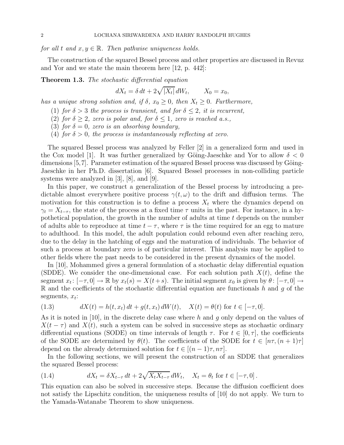for all t and  $x, y \in \mathbb{R}$ . Then pathwise uniqueness holds.

The construction of the squared Bessel process and other properties are discussed in Revuz and Yor and we state the main theorem here [12, p. 442]:

Theorem 1.3. The stochastic differential equation

 $dX_t = \delta dt + 2\sqrt{|X_t|} dW_t$  $X_0 = x_0$ 

has a unique strong solution and, if  $\delta$ ,  $x_0 \geq 0$ , then  $X_t \geq 0$ . Furthermore,

(1) for  $\delta > 3$  the process is transient, and for  $\delta \leq 2$ , it is recurrent,

(2) for  $\delta \geq 2$ , zero is polar and, for  $\delta \leq 1$ , zero is reached a.s.,

(3) for  $\delta = 0$ , zero is an absorbing boundary,

(4) for  $\delta > 0$ , the process is instantaneously reflecting at zero.

The squared Bessel process was analyzed by Feller [2] in a generalized form and used in the Cox model [1]. It was further generalized by Göing-Jaeschke and Yor to allow  $\delta < 0$ dimensions  $[5,7]$ . Parameter estimation of the squared Bessel process was discussed by Göing-Jaeschke in her Ph.D. dissertation [6]. Squared Bessel processes in non-colliding particle systems were analyzed in [3], [8], and [9].

In this paper, we construct a generalization of the Bessel process by introducing a predictable almost everywhere positive process  $\gamma(t,\omega)$  to the drift and diffusion terms. The motivation for this construction is to define a process  $X_t$  where the dynamics depend on  $\gamma_t = X_{t-\tau}$ , the state of the process at a fixed time  $\tau$  units in the past. For instance, in a hypothetical population, the growth in the number of adults at time t depends on the number of adults able to reproduce at time  $t - \tau$ , where  $\tau$  is the time required for an egg to mature to adulthood. In this model, the adult population could rebound even after reaching zero, due to the delay in the hatching of eggs and the maturation of individuals. The behavior of such a process at boundary zero is of particular interest. This analysis may be applied to other fields where the past needs to be considered in the present dynamics of the model.

In [10], Mohammed gives a general formulation of a stochastic delay differential equation (SDDE). We consider the one-dimensional case. For each solution path  $X(t)$ , define the segment  $x_t: [-\tau, 0] \to \mathbb{R}$  by  $x_t(s) = X(t+s)$ . The initial segment  $x_0$  is given by  $\theta: [-\tau, 0] \to$  $\mathbb R$  and the coefficients of the stochastic differential equation are functionals h and g of the segments,  $x_t$ :

(1.3) 
$$
dX(t) = h(t, x_t) dt + g(t, x_t) dW(t), \quad X(t) = \theta(t) \text{ for } t \in [-\tau, 0].
$$

As it is noted in [10], in the discrete delay case where h and q only depend on the values of  $X(t - \tau)$  and  $X(t)$ , such a system can be solved in successive steps as stochastic ordinary differential equations (SODE) on time intervals of length  $\tau$ . For  $t \in [0, \tau]$ , the coefficients of the SODE are determined by  $\theta(t)$ . The coefficients of the SODE for  $t \in [n\tau, (n+1)\tau]$ depend on the already determined solution for  $t \in [(n-1)\tau, n\tau]$ .

In the following sections, we will present the construction of an SDDE that generalizes the squared Bessel process:

(1.4) 
$$
dX_t = \delta X_{t-\tau} dt + 2\sqrt{X_t X_{t-\tau}} dW_t, \quad X_t = \theta_t \text{ for } t \in [-\tau, 0].
$$

This equation can also be solved in successive steps. Because the diffusion coefficient does not satisfy the Lipschitz condition, the uniqueness results of [10] do not apply. We turn to the Yamada-Watanabe Theorem to show uniqueness.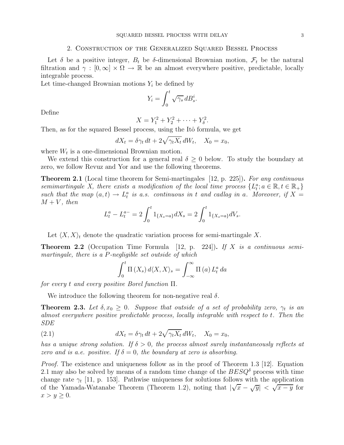#### 2. Construction of the Generalized Squared Bessel Process

Let  $\delta$  be a positive integer,  $B_t$  be  $\delta$ -dimensional Brownian motion,  $\mathcal{F}_t$  be the natural filtration and  $\gamma : [0, \infty] \times \Omega \to \mathbb{R}$  be an almost everywhere positive, predictable, locally integrable process.

Let time-changed Brownian motions  $Y_i$  be defined by

$$
Y_i = \int_0^t \sqrt{\gamma_s} \, dB_s^i.
$$

Define

$$
X = Y_1^2 + Y_2^2 + \dots + Y_\delta^2.
$$

Then, as for the squared Bessel process, using the Itô formula, we get

$$
dX_t = \delta \gamma_t dt + 2\sqrt{\gamma_t X_t} dW_t, \quad X_0 = x_0,
$$

where  $W_t$  is a one-dimensional Brownian motion.

We extend this construction for a general real  $\delta \geq 0$  below. To study the boundary at zero, we follow Revuz and Yor and use the following theorems.

**Theorem 2.1** (Local time theorem for Semi-martingales [12, p. 225]). For any continuous semimartingale X, there exists a modification of the local time process  $\{L_t^a; a \in \mathbb{R}, t \in \mathbb{R}_+\}$ such that the map  $(a, t) \to L_t^a$  is a.s. continuous in t and cadlag in a. Moreover, if  $X =$  $M + V$ , then

$$
L_t^a - L_t^{a-} = 2 \int_0^t 1_{\{X_s = a\}} dX_s = 2 \int_0^t 1_{\{X_s = a\}} dV_s.
$$

Let  $\langle X, X \rangle_t$  denote the quadratic variation process for semi-martingale X.

**Theorem 2.2** (Occupation Time Formula [12, p. 224]). If X is a continuous semimartingale, there is a P-negligible set outside of which

$$
\int_0^t \Pi\left(X_s\right) d\langle X, X\rangle_s = \int_{-\infty}^\infty \Pi\left(a\right) L_t^a \, da
$$

for every t and every positive Borel function Π.

We introduce the following theorem for non-negative real  $\delta$ .

**Theorem 2.3.** Let  $\delta, x_0 \geq 0$ . Suppose that outside of a set of probability zero,  $\gamma_t$  is an almost everywhere positive predictable process, locally integrable with respect to t. Then the SDE

(2.1) 
$$
dX_t = \delta \gamma_t dt + 2\sqrt{\gamma_t X_t} dW_t, \quad X_0 = x_0,
$$

has a unique strong solution. If  $\delta > 0$ , the process almost surely instantaneously reflects at zero and is a.e. positive. If  $\delta = 0$ , the boundary at zero is absorbing.

*Proof.* The existence and uniqueness follow as in the proof of Theorem 1.3 [12]. Equation 2.1 may also be solved by means of a random time change of the  $BESQ^{\delta}$  process with time change rate  $\gamma_t$  [11, p. 153]. Pathwise uniqueness for solutions follows with the application of the Yamada-Watanabe Theorem (Theorem 1.2), noting that  $|\sqrt{x} - \sqrt{y}| < \sqrt{x - y}$  for  $x > y \geq 0$ .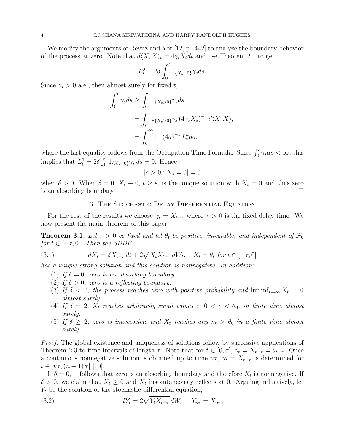We modify the arguments of Revuz and Yor [12, p. 442] to analyze the boundary behavior of the process at zero. Note that  $d\langle X, X \rangle_t = 4\gamma_t X_t dt$  and use Theorem 2.1 to get

$$
L_t^0 = 2\delta \int_0^t 1_{\{X_s = 0\}} \gamma_s ds.
$$

Since  $\gamma_s > 0$  a.e., then almost surely for fixed t,

$$
\int_0^t \gamma_s ds \ge \int_0^t 1_{\{X_s > 0\}} \gamma_s ds
$$
  
= 
$$
\int_0^t 1_{\{X_s > 0\}} \gamma_s (4 \gamma_s X_s)^{-1} d\langle X, X \rangle_s
$$
  
= 
$$
\int_0^\infty 1 \cdot (4a)^{-1} L_t^a da,
$$

where the last equality follows from the Occupation Time Formula. Since  $\int_0^t \gamma_s ds < \infty$ , this implies that  $L_t^0 = 2\delta \int_0^t 1_{\{X_s = 0\}} \gamma_s ds = 0$ . Hence

$$
|s > 0 : X_s = 0| = 0
$$

when  $\delta > 0$ . When  $\delta = 0$ ,  $X_t \equiv 0$ ,  $t \geq s$ , is the unique solution with  $X_s = 0$  and thus zero is an absorbing boundary. is an absorbing boundary.

#### 3. The Stochastic Delay Differential Equation

For the rest of the results we choose  $\gamma_t = X_{t-\tau}$  where  $\tau > 0$  is the fixed delay time. We now present the main theorem of this paper.

**Theorem 3.1.** Let  $\tau > 0$  be fixed and let  $\theta_t$  be positive, integrable, and independent of  $\mathcal{F}_0$ for  $t \in [-\tau, 0]$ . Then the SDDE

(3.1) 
$$
dX_t = \delta X_{t-\tau} dt + 2\sqrt{X_t X_{t-\tau}} dW_t, \quad X_t = \theta_t \text{ for } t \in [-\tau, 0]
$$

has a unique strong solution and this solution is nonnegative. In addition:

- (1) If  $\delta = 0$ , zero is an absorbing boundary.
- (2) If  $\delta > 0$ , zero is a reflecting boundary.
- (3) If  $\delta$  < 2, the process reaches zero with positive probability and  $\liminf_{t\to\infty} X_t = 0$ almost surely.
- (4) If  $\delta = 2$ ,  $X_t$  reaches arbitrarily small values  $\epsilon$ ,  $0 < \epsilon < \theta_0$ , in finite time almost surely.
- (5) If  $\delta \geq 2$ , zero is inaccessible and  $X_t$  reaches any  $m > \theta_0$  in a finite time almost surely.

Proof. The global existence and uniqueness of solutions follow by successive applications of Theorem 2.3 to time intervals of length  $\tau$ . Note that for  $t \in [0, \tau]$ ,  $\gamma_t = X_{t-\tau} = \theta_{t-\tau}$ . Once a continuous nonnegative solution is obtained up to time  $n\tau$ ,  $\gamma_t = X_{t-\tau}$  is determined for  $t \in [n\tau,(n+1)\,\tau]$  [10].

If  $\delta = 0$ , it follows that zero is an absorbing boundary and therefore  $X_t$  is nonnegative. If  $\delta > 0$ , we claim that  $X_t \geq 0$  and  $X_t$  instantaneously reflects at 0. Arguing inductively, let  $Y_t$  be the solution of the stochastic differential equation,

(3.2) 
$$
dY_t = 2\sqrt{Y_t X_{t-\tau}} dW_t, \quad Y_{n\tau} = X_{n\tau},
$$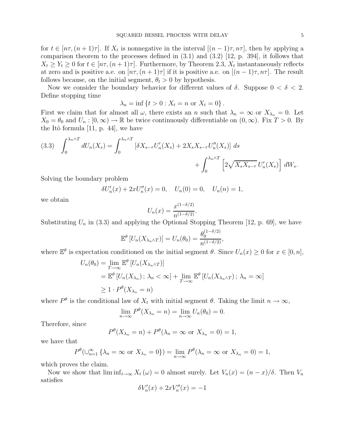for  $t \in [n\tau, (n+1)\tau]$ . If  $X_t$  is nonnegative in the interval  $[(n-1)\tau, n\tau]$ , then by applying a comparison theorem to the processes defined in (3.1) and (3.2) [12, p. 394], it follows that  $X_t \geq Y_t \geq 0$  for  $t \in [n\tau, (n+1)\tau]$ . Furthermore, by Theorem 2.3,  $X_t$  instantaneously reflects at zero and is positive a.e. on  $[n\tau,(n+1)\tau]$  if it is positive a.e. on  $[(n-1)\tau,n\tau]$ . The result follows because, on the initial segment,  $\theta_t > 0$  by hypothesis.

Now we consider the boundary behavior for different values of  $\delta$ . Suppose  $0 < \delta < 2$ . Define stopping time

$$
\lambda_n = \inf \{ t > 0 : X_t = n \text{ or } X_t = 0 \}.
$$

First we claim that for almost all  $\omega$ , there exists an n such that  $\lambda_n = \infty$  or  $X_{\lambda_n} = 0$ . Let  $X_0 = \theta_0$  and  $U_n : [0, \infty) \to \mathbb{R}$  be twice continuously differentiable on  $(0, \infty)$ . Fix  $T > 0$ . By the Itô formula  $[11, p. 44]$ , we have

$$
(3.3) \quad \int_0^{\lambda_n \wedge T} dU_n(X_s) = \int_0^{\lambda_n \wedge T} \left[ \delta X_{s-\tau} U_n'(X_s) + 2X_s X_{s-\tau} U_n''(X_s) \right] ds + \int_0^{\lambda_n \wedge T} \left[ 2\sqrt{X_s X_{s-\tau}} U_n'(X_s) \right] dW_s.
$$

Solving the boundary problem

$$
\delta U'_n(x) + 2xU''_n(x) = 0, \quad U_n(0) = 0, \quad U_n(n) = 1,
$$

we obtain

$$
U_n(x) = \frac{x^{(1-\delta/2)}}{n^{(1-\delta/2)}}.
$$

Substituting  $U_n$  in (3.3) and applying the Optional Stopping Theorem [12, p. 69], we have

$$
\mathbb{E}^{\theta}\left[U_n(X_{\lambda_n\wedge T})\right] = U_n(\theta_0) = \frac{\theta_0^{(1-\delta/2)}}{n^{(1-\delta/2)}},
$$

where  $\mathbb{E}^{\theta}$  is expectation conditioned on the initial segment  $\theta$ . Since  $U_n(x) \geq 0$  for  $x \in [0, n]$ ,

$$
U_n(\theta_0) = \lim_{T \to \infty} \mathbb{E}^{\theta} \left[ U_n(X_{\lambda_n \wedge T}) \right]
$$
  
=  $\mathbb{E}^{\theta} \left[ U_n(X_{\lambda_n}) \, ; \, \lambda_n < \infty \right] + \lim_{T \to \infty} \mathbb{E}^{\theta} \left[ U_n(X_{\lambda_n \wedge T}) \, ; \, \lambda_n = \infty \right]$   
 $\geq 1 \cdot P^{\theta}(X_{\lambda_n} = n)$ 

where  $P^{\theta}$  is the conditional law of  $X_t$  with initial segment  $\theta$ . Taking the limit  $n \to \infty$ ,

$$
\lim_{n \to \infty} P^{\theta}(X_{\lambda_n} = n) = \lim_{n \to \infty} U_n(\theta_0) = 0.
$$

Therefore, since

$$
P^{\theta}(X_{\lambda_n}=n)+P^{\theta}(\lambda_n=\infty \text{ or } X_{\lambda_n}=0)=1,
$$

we have that

$$
P^{\theta}(\bigcup_{n=1}^{\infty} \{ \lambda_n = \infty \text{ or } X_{\lambda_n} = 0 \}) = \lim_{n \to \infty} P^{\theta}(\lambda_n = \infty \text{ or } X_{\lambda_n} = 0) = 1,
$$

which proves the claim.

Now we show that  $\liminf_{t\to\infty} X_t(\omega) = 0$  almost surely. Let  $V_n(x) = (n-x)/\delta$ . Then  $V_n$ satisfies

$$
\delta V_n'(x) + 2x V_n''(x) = -1
$$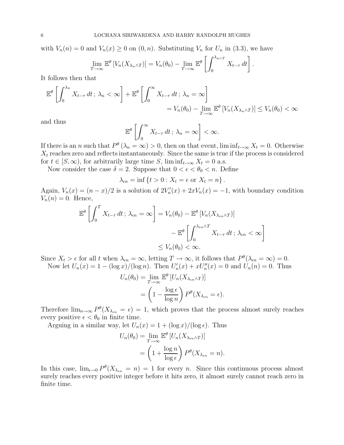with  $V_n(n) = 0$  and  $V_n(x) \ge 0$  on  $(0, n)$ . Substituting  $V_n$  for  $U_n$  in  $(3.3)$ , we have

$$
\lim_{T \to \infty} \mathbb{E}^{\theta} \left[ V_n(X_{\lambda_n \wedge T}) \right] = V_n(\theta_0) - \lim_{T \to \infty} \mathbb{E}^{\theta} \left[ \int_0^{\lambda_{n \wedge T}} X_{t-\tau} dt \right].
$$

It follows then that

$$
\mathbb{E}^{\theta}\left[\int_0^{\lambda_n} X_{t-\tau} dt; \lambda_n < \infty\right] + \mathbb{E}^{\theta}\left[\int_0^{\infty} X_{t-\tau} dt; \lambda_n = \infty\right]
$$
  
=  $V_n(\theta_0) - \lim_{T \to \infty} \mathbb{E}^{\theta}\left[V_n(X_{\lambda_n \wedge T})\right] \le V_n(\theta_0) < \infty$ 

and thus

$$
\mathbb{E}^{\theta}\left[\int_0^\infty X_{t-\tau} dt \, ; \, \lambda_n = \infty\right] < \infty.
$$

If there is an n such that  $P^{\theta}(\lambda_n = \infty) > 0$ , then on that event,  $\liminf_{t \to \infty} X_t = 0$ . Otherwise  $X_t$  reaches zero and reflects instantaneously. Since the same is true if the process is considered for  $t \in [S,\infty)$ , for arbitrarily large time S,  $\liminf_{t\to\infty} X_t = 0$  a.s.

Now consider the case  $\delta = 2$ . Suppose that  $0 < \epsilon < \theta_0 < n$ . Define

 $\lambda_{\epsilon n} = \inf \{ t > 0 : X_t = \epsilon \text{ or } X_t = n \}.$ 

Again,  $V_n(x) = (n - x)/2$  is a solution of  $2V'_n(x) + 2xV_n(x) = -1$ , with boundary condition  $V_n(n) = 0$ . Hence,

$$
\mathbb{E}^{\theta}\left[\int_{0}^{T} X_{t-\tau} dt; \lambda_{\epsilon n} = \infty\right] = V_{n}(\theta_{0}) - \mathbb{E}^{\theta}\left[V_{n}(X_{\lambda_{\epsilon n}\wedge T})\right]
$$

$$
-\mathbb{E}^{\theta}\left[\int_{0}^{\lambda_{\epsilon n}\wedge T} X_{t-\tau} dt; \lambda_{\epsilon n} < \infty\right]
$$

$$
\leq V_{n}(\theta_{0}) < \infty.
$$

1

Since  $X_t > \epsilon$  for all t when  $\lambda_{\epsilon n} = \infty$ , letting  $T \to \infty$ , it follows that  $P^{\theta}(\lambda_{\epsilon n} = \infty) = 0$ . Now let  $U_n(x) = 1 - (\log x)/(\log n)$ . Then  $U'_n(x) + xU''_n(x) = 0$  and  $U_n(n) = 0$ . Thus

$$
U_n(\theta_0) = \lim_{T \to \infty} \mathbb{E}^{\theta} \left[ U_n(X_{\lambda_{\epsilon n} \wedge T}) \right]
$$
  
= 
$$
\left( 1 - \frac{\log \epsilon}{\log n} \right) P^{\theta}(X_{\lambda_{\epsilon n}} = \epsilon).
$$

Therefore  $\lim_{n\to\infty} P^{\theta}(X_{\lambda_{\epsilon n}}=\epsilon)=1$ , which proves that the process almost surely reaches every positive  $\epsilon < \theta_0$  in finite time.

Arguing in a similar way, let  $U_n(x) = 1 + (\log x)/(\log \epsilon)$ . Thus

$$
U_n(\theta_0) = \lim_{T \to \infty} \mathbb{E}^{\theta} \left[ U_n(X_{\lambda_{\epsilon n} \wedge T}) \right]
$$
  
= 
$$
\left( 1 + \frac{\log n}{\log \epsilon} \right) P^{\theta}(X_{\lambda_{\epsilon n}} = n).
$$

In this case,  $\lim_{\epsilon \to 0} P^{\theta}(X_{\lambda_{\epsilon n}} = n) = 1$  for every n. Since this continuous process almost surely reaches every positive integer before it hits zero, it almost surely cannot reach zero in finite time.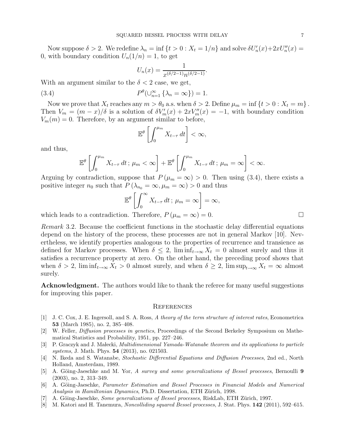Now suppose  $\delta > 2$ . We redefine  $\lambda_n = \inf \{ t > 0 : X_t = 1/n \}$  and solve  $\delta U'_n(x) + 2xU''_n(x) =$ 0, with boundary condition  $U_n(1/n) = 1$ , to get

$$
U_n(x) = \frac{1}{x^{(\delta/2 - 1)} n^{(\delta/2 - 1)}}.
$$

With an argument similar to the  $\delta < 2$  case, we get,

(3.4) 
$$
P^{\theta}(\cup_{n=1}^{\infty} \{\lambda_n = \infty\}) = 1.
$$

Now we prove that  $X_t$  reaches any  $m > \theta_0$  a.s. when  $\delta > 2$ . Define  $\mu_m = \inf \{ t > 0 : X_t = m \}.$ Then  $V_m = (m - x)/\delta$  is a solution of  $\delta V'_m(x) + 2xV''_m(x) = -1$ , with boundary condition  $V_m(m) = 0$ . Therefore, by an argument similar to before,

$$
\mathbb{E}^{\theta}\left[\int_0^{\mu_m} X_{t-\tau} dt\right] < \infty,
$$

and thus,

$$
\mathbb{E}^{\theta}\left[\int_0^{\mu_m} X_{t-\tau} dt \, ; \, \mu_m < \infty\right] + \mathbb{E}^{\theta}\left[\int_0^{\mu_m} X_{t-\tau} dt \, ; \, \mu_m = \infty\right] < \infty.
$$

Arguing by contradiction, suppose that  $P(\mu_m = \infty) > 0$ . Then using (3.4), there exists a positive integer  $n_0$  such that  $P(\lambda_{n_0} = \infty, \mu_m = \infty) > 0$  and thus

$$
\mathbb{E}^{\theta}\left[\int_0^{\infty} X_{t-\tau} dt; \ \mu_m = \infty\right] = \infty,
$$

which leads to a contradiction. Therefore,  $P(\mu_m = \infty) = 0$ .

Remark 3.2. Because the coefficient functions in the stochastic delay differential equations depend on the history of the process, these processes are not in general Markov [10]. Nevertheless, we identify properties analogous to the properties of recurrence and transience as defined for Markov processes. When  $\delta \leq 2$ ,  $\liminf_{t\to\infty} X_t = 0$  almost surely and thus it satisfies a recurrence property at zero. On the other hand, the preceding proof shows that when  $\delta > 2$ ,  $\liminf_{t\to\infty} X_t > 0$  almost surely, and when  $\delta \geq 2$ ,  $\limsup_{t\to\infty} X_t = \infty$  almost surely.

Acknowledgment. The authors would like to thank the referee for many useful suggestions for improving this paper.

#### **REFERENCES**

- [1] J. C. Cox, J. E. Ingersoll, and S. A. Ross, A theory of the term structure of interest rates, Econometrica 53 (March 1985), no. 2, 385–408.
- [2] W. Feller, Diffusion processes in genetics, Proceedings of the Second Berkeley Symposium on Mathematical Statistics and Probability, 1951, pp. 227–246.
- [3] P. Graczyk and J. Małecki, *Multidimensional Yamada-Watanabe theorem and its applications to particle* systems, J. Math. Phys. 54 (2013), no. 021503.
- [4] N. Ikeda and S. Watanabe, Stochastic Differential Equations and Diffusion Processes, 2nd ed., North Holland, Amsterdam, 1989.
- [5] A. Göing-Jaeschke and M. Yor, A survey and some generalizations of Bessel processes, Bernoulli 9 (2003), no. 2, 313–349.
- [6] A. Göing-Jaeschke, Parameter Estimation and Bessel Processes in Financial Models and Numerical Analysis in Hamiltonian Dynamics, Ph.D. Dissertation, ETH Zürich, 1998.
- [7] A. Göing-Jaeschke, Some generalizations of Bessel processes, RiskLab, ETH Zürich, 1997.
- [8] M. Katori and H. Tanemura, Noncolliding squared Bessel processes, J. Stat. Phys. 142 (2011), 592–615.